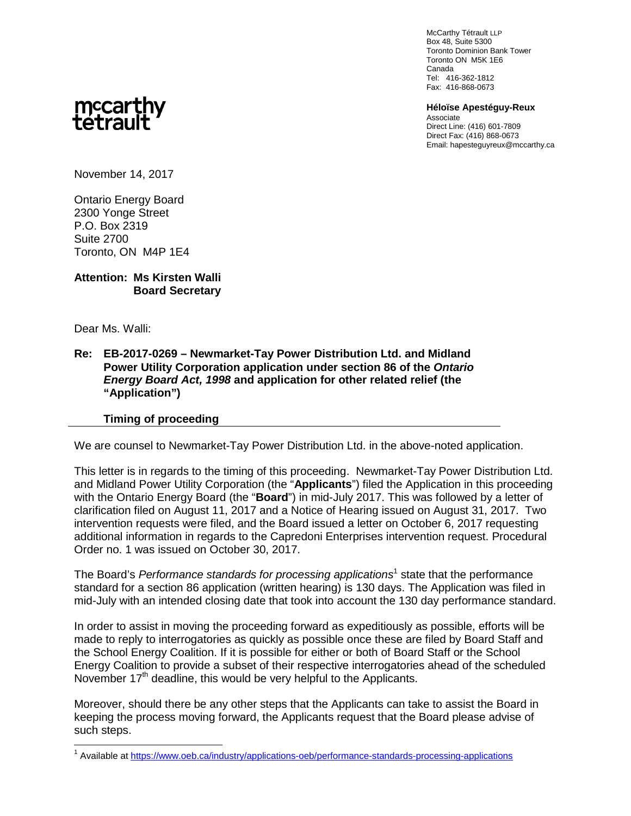McCarthy Tétrault LLP Box 48, Suite 5300 Toronto Dominion Bank Tower Toronto ON M5K 1E6 Canada Tel: 416-362-1812 Fax: 416-868-0673

**Héloïse Apestéguy-Reux** Associate Direct Line: (416) 601-7809 Direct Fax: (416) 868-0673 Email: hapesteguyreux@mccarthy.ca

## mccarthy<br>tetrault

November 14, 2017

Ontario Energy Board 2300 Yonge Street P.O. Box 2319 Suite 2700 Toronto, ON M4P 1E4

## **Attention: Ms Kirsten Walli Board Secretary**

Dear Ms. Walli:

## **Re: EB-2017-0269 – Newmarket-Tay Power Distribution Ltd. and Midland Power Utility Corporation application under section 86 of the** *Ontario Energy Board Act, 1998* **and application for other related relief (the "Application")**

## **Timing of proceeding**

We are counsel to Newmarket-Tay Power Distribution Ltd. in the above-noted application.

This letter is in regards to the timing of this proceeding. Newmarket-Tay Power Distribution Ltd. and Midland Power Utility Corporation (the "**Applicants**") filed the Application in this proceeding with the Ontario Energy Board (the "**Board**") in mid-July 2017. This was followed by a letter of clarification filed on August 11, 2017 and a Notice of Hearing issued on August 31, 2017. Two intervention requests were filed, and the Board issued a letter on October 6, 2017 requesting additional information in regards to the Capredoni Enterprises intervention request. Procedural Order no. 1 was issued on October 30, 2017.

The Board's *Performance standards for processing applications*<sup>1</sup> state that the performance standard for a section 86 application (written hearing) is 130 days. The Application was filed in mid-July with an intended closing date that took into account the 130 day performance standard.

In order to assist in moving the proceeding forward as expeditiously as possible, efforts will be made to reply to interrogatories as quickly as possible once these are filed by Board Staff and the School Energy Coalition. If it is possible for either or both of Board Staff or the School Energy Coalition to provide a subset of their respective interrogatories ahead of the scheduled November  $17<sup>th</sup>$  deadline, this would be very helpful to the Applicants.

Moreover, should there be any other steps that the Applicants can take to assist the Board in keeping the process moving forward, the Applicants request that the Board please advise of such steps.

<sup>&</sup>lt;sup>1</sup> Available at https://www.oeb.ca/industry/applications-oeb/performance-standards-processing-applications